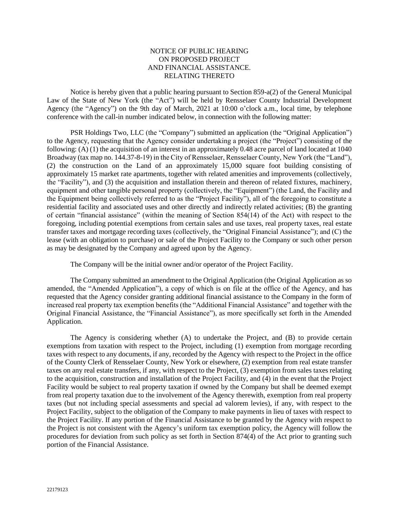## NOTICE OF PUBLIC HEARING ON PROPOSED PROJECT AND FINANCIAL ASSISTANCE. RELATING THERETO

Notice is hereby given that a public hearing pursuant to Section 859-a(2) of the General Municipal Law of the State of New York (the "Act") will be held by Rensselaer County Industrial Development Agency (the "Agency") on the 9th day of March, 2021 at 10:00 o'clock a.m., local time, by telephone conference with the call-in number indicated below, in connection with the following matter:

PSR Holdings Two, LLC (the "Company") submitted an application (the "Original Application") to the Agency, requesting that the Agency consider undertaking a project (the "Project") consisting of the following: (A) (1) the acquisition of an interest in an approximately 0.48 acre parcel of land located at 1040 Broadway (tax map no. 144.37-8-19) in the City of Rensselaer, Rensselaer County, New York (the "Land"), (2) the construction on the Land of an approximately 15,000 square foot building consisting of approximately 15 market rate apartments, together with related amenities and improvements (collectively, the "Facility"), and (3) the acquisition and installation therein and thereon of related fixtures, machinery, equipment and other tangible personal property (collectively, the "Equipment") (the Land, the Facility and the Equipment being collectively referred to as the "Project Facility"), all of the foregoing to constitute a residential facility and associated uses and other directly and indirectly related activities; (B) the granting of certain "financial assistance" (within the meaning of Section 854(14) of the Act) with respect to the foregoing, including potential exemptions from certain sales and use taxes, real property taxes, real estate transfer taxes and mortgage recording taxes (collectively, the "Original Financial Assistance"); and (C) the lease (with an obligation to purchase) or sale of the Project Facility to the Company or such other person as may be designated by the Company and agreed upon by the Agency.

The Company will be the initial owner and/or operator of the Project Facility.

The Company submitted an amendment to the Original Application (the Original Application as so amended, the "Amended Application"), a copy of which is on file at the office of the Agency, and has requested that the Agency consider granting additional financial assistance to the Company in the form of increased real property tax exemption benefits (the "Additional Financial Assistance" and together with the Original Financial Assistance, the "Financial Assistance"), as more specifically set forth in the Amended Application.

The Agency is considering whether (A) to undertake the Project, and (B) to provide certain exemptions from taxation with respect to the Project, including (1) exemption from mortgage recording taxes with respect to any documents, if any, recorded by the Agency with respect to the Project in the office of the County Clerk of Rensselaer County, New York or elsewhere, (2) exemption from real estate transfer taxes on any real estate transfers, if any, with respect to the Project, (3) exemption from sales taxes relating to the acquisition, construction and installation of the Project Facility, and (4) in the event that the Project Facility would be subject to real property taxation if owned by the Company but shall be deemed exempt from real property taxation due to the involvement of the Agency therewith, exemption from real property taxes (but not including special assessments and special ad valorem levies), if any, with respect to the Project Facility, subject to the obligation of the Company to make payments in lieu of taxes with respect to the Project Facility. If any portion of the Financial Assistance to be granted by the Agency with respect to the Project is not consistent with the Agency's uniform tax exemption policy, the Agency will follow the procedures for deviation from such policy as set forth in Section 874(4) of the Act prior to granting such portion of the Financial Assistance.